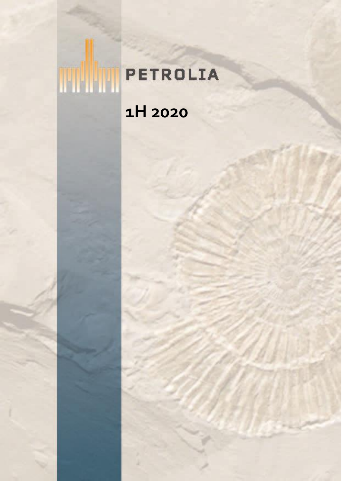# **THE PETROLIA 1H 2020**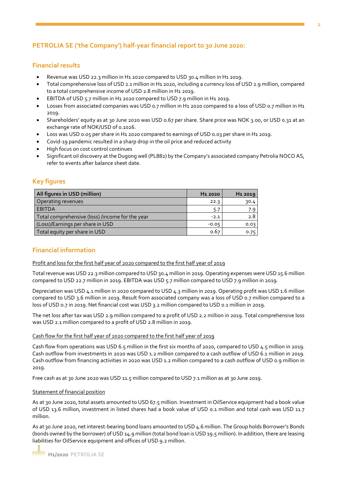## **PETROLIA SE ('the Company') half-year financial report to 30 June 2020:**

## **Financial results**

- Revenue was USD 22.3 million in H1 2020 compared to USD 30.4 million in H1 2019.
- Total comprehensive loss of USD 2.1 million in H1 2020, including a currency loss of USD 2.9 million, compared to a total comprehensive income of USD 2.8 million in H1 2019.
- EBITDA of USD 5.7 million in H1 2020 compared to USD 7.9 million in H1 2019.
- Losses from associated companies was USD 0.7 million in H1 2020 compared to a loss of USD 0.7 million in H1 2019.
- Shareholders' equity as at 30 June 2020 was USD 0.67 per share. Share price was NOK 3.00, or USD 0.31 at an exchange rate of NOK/USD of 0.1026.
- Loss was USD 0.05 per share in H1 2020 compared to earnings of USD 0.03 per share in H1 2019.
- Covid-19 pandemic resulted in a sharp drop in the oil price and reduced activity
- High focus on cost control continues
- Significant oil discovery at the Dugong well (PL882) by the Company's associated company Petrolia NOCO AS, refer to events after balance sheet date.

## **Key figures**

| All figures in USD (million)                    | H <sub>1</sub> 2020 | H <sub>1</sub> 2019 |
|-------------------------------------------------|---------------------|---------------------|
| Operating revenues                              | 22.3                | 30.4                |
| <b>EBITDA</b>                                   | 5.7                 | 7.9 <sub>1</sub>    |
| Total comprehensive (loss) /income for the year | $-2.1$              | 2.8                 |
| (Loss)/Earnings per share in USD                | $-0.05$             | 0.03                |
| Total equity per share in USD                   | 0.67                | 0.75                |

## **Financial information**

#### Profit and loss for the first half year of 2020 compared to the first half year of 2019

Total revenue was USD 22.3 million compared to USD 30.4 million in 2019. Operating expenses were USD 15.6 million compared to USD 22.7 million in 2019. EBITDA was USD 5.7 million compared to USD 7.9 million in 2019.

Depreciation was USD 4.1 million in 2020 compared to USD 4.3 million in 2019. Operating profit was USD 1.6 million compared to USD 3.6 million in 2019. Result from associated company was a loss of USD 0.7 million compared to a loss of USD 0.7 in 2019. Net financial cost was USD 3.2 million compared to USD 0.1 million in 2019.

The net loss after tax was USD 2.9 million compared to a profit of USD 2.2 million in 2019. Total comprehensive loss was USD 2.1 million compared to a profit of USD 2.8 million in 2019.

#### Cash flow for the first half year of 2020 compared to the first half year of 2019

Cash flow from operations was USD 6.5 million in the first six months of 2020, compared to USD 4.5 million in 2019. Cash outflow from investments in 2020 was USD 1.2 million compared to a cash outflow of USD 6.1 million in 2019. Cash outflow from financing activities in 2020 was USD 1.2 million compared to a cash outflow of USD 0.9 million in 2019.

Free cash as at 30 June 2020 was USD 11.5 million compared to USD 7.1 million as at 30 June 2019.

## Statement of financial position

As at 30 June 2020, total assets amounted to USD 67.5 million. Investment in OilService equipment had a book value of USD 13.6 million, investment in listed shares had a book value of USD 0.1 million and total cash was USD 11.7 million.

As at 30 June 2020, net interest-bearing bond loans amounted to USD 4.6 million. The Group holds Borrower's Bonds (bonds owned by the borrower) of USD 14.9 million (total bond loan is USD 19.5 million). In addition, there are leasing liabilities for OilService equipment and offices of USD 9.2 million.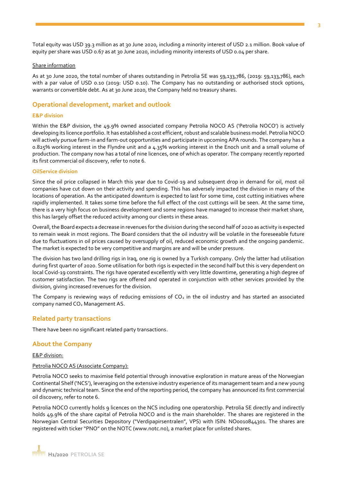Total equity was USD 39.3 million as at 30 June 2020, including a minority interest of USD 2.1 million. Book value of equity per share was USD 0.67 as at 30 June 2020, including minority interests of USD 0.04 per share.

#### Share information

As at 30 June 2020, the total number of shares outstanding in Petrolia SE was 59,133,786, (2019: 59,133,786), each with a par value of USD 0.10 (2019: USD 0.10). The Company has no outstanding or authorised stock options, warrants or convertible debt. As at 30 June 2020, the Company held no treasury shares.

## **Operational development, market and outlook**

#### **E&P division**

Within the E&P division, the 49.9% owned associated company Petrolia NOCO AS ('Petrolia NOCO') is actively developing its licence portfolio. It has established a cost efficient, robust and scalable business model. Petrolia NOCO will actively pursue farm-in and farm-out opportunities and participate in upcoming APA rounds. The company has a 0.825% working interest in the Flyndre unit and a 4.35% working interest in the Enoch unit and a small volume of production. The company now has a total of nine licences, one of which as operator. The company recently reported its first commercial oil discovery, refer to note 6.

#### **OilService division**

Since the oil price collapsed in March this year due to Covid-19 and subsequent drop in demand for oil, most oil companies have cut down on their activity and spending. This has adversely impacted the division in many of the locations of operation. As the anticipated downturn is expected to last for some time, cost cutting initiatives where rapidly implemented. It takes some time before the full effect of the cost cuttings will be seen. At the same time, there is a very high focus on business development and some regions have managed to increase their market share, this has largely offset the reduced activity among our clients in these areas.

Overall, the Board expects a decrease in revenues for the division during the second half of 2020 as activity is expected to remain weak in most regions. The Board considers that the oil industry will be volatile in the foreseeable future due to fluctuations in oil prices caused by oversupply of oil, reduced economic growth and the ongoing pandemic. The market is expected to be very competitive and margins are and will be under pressure.

The division has two land drilling rigs in Iraq, one rig is owned by a Turkish company. Only the latter had utilisation during first quarter of 2020. Some utilisation for both rigs is expected in the second half but this is very dependent on local Covid-19 constraints. The rigs have operated excellently with very little downtime, generating a high degree of customer satisfaction. The two rigs are offered and operated in conjunction with other services provided by the division, giving increased revenues for the division.

The Company is reviewing ways of reducing emissions of  $CO<sub>2</sub>$  in the oil industry and has started an associated company named CO<sub>2</sub> Management AS.

#### **Related party transactions**

There have been no significant related party transactions.

#### **About the Company**

E&P division:

#### Petrolia NOCO AS (Associate Company):

Petrolia NOCO seeks to maximise field potential through innovative exploration in mature areas of the Norwegian Continental Shelf ('NCS'), leveraging on the extensive industry experience of its management team and a new young and dynamic technical team. Since the end of the reporting period, the company has announced its first commercial oil discovery, refer to note 6.

Petrolia NOCO currently holds 9 licences on the NCS including one operatorship. Petrolia SE directly and indirectly holds 49.9% of the share capital of Petrolia NOCO and is the main shareholder. The shares are registered in the Norwegian Central Securities Depository ("Verdipapirsentralen", VPS) with ISIN: NO0010844301. The shares are registered with ticker "PNO" on the NOTC (www.notc.no), a market place for unlisted shares.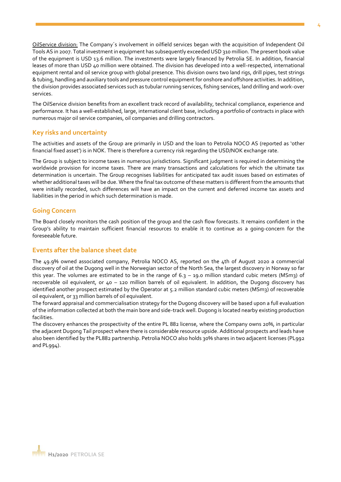OilService division: The Company´s involvement in oilfield services began with the acquisition of Independent Oil Tools AS in 2007. Total investment in equipment has subsequently exceeded USD 310 million. The present book value of the equipment is USD 13.6 million. The investments were largely financed by Petrolia SE. In addition, financial leases of more than USD 40 million were obtained. The division has developed into a well-respected, international equipment rental and oil service group with global presence. This division owns two land rigs, drill pipes, test strings & tubing, handling and auxiliary tools and pressure control equipment for onshore and offshore activities. In addition, the division provides associated services such as tubular running services, fishing services, land drilling and work-over services.

The OilService division benefits from an excellent track record of availability, technical compliance, experience and performance. It has a well-established, large, international client base, including a portfolio of contracts in place with numerous major oil service companies, oil companies and drilling contractors.

## **Key risks and uncertainty**

The activities and assets of the Group are primarily in USD and the loan to Petrolia NOCO AS (reported as 'other financial fixed asset') is in NOK. There is therefore a currency risk regarding the USD/NOK exchange rate.

The Group is subject to income taxes in numerous jurisdictions. Significant judgment is required in determining the worldwide provision for income taxes. There are many transactions and calculations for which the ultimate tax determination is uncertain. The Group recognises liabilities for anticipated tax audit issues based on estimates of whether additional taxes will be due. Where the final tax outcome of these matters is different from the amounts that were initially recorded, such differences will have an impact on the current and deferred income tax assets and liabilities in the period in which such determination is made.

## **Going Concern**

The Board closely monitors the cash position of the group and the cash flow forecasts. It remains confident in the Group's ability to maintain sufficient financial resources to enable it to continue as a going-concern for the foreseeable future.

## **Events after the balance sheet date**

The 49.9% owned associated company, Petrolia NOCO AS, reported on the 4th of August 2020 a commercial discovery of oil at the Dugong well in the Norwegian sector of the North Sea, the largest discovery in Norway so far this year. The volumes are estimated to be in the range of  $6.3 - 19.0$  million standard cubic meters (MSm3) of recoverable oil equivalent, or 40 – 120 million barrels of oil equivalent. In addition, the Dugong discovery has identified another prospect estimated by the Operator at 5.2 million standard cubic meters (MSm3) of recoverable oil equivalent, or 33 million barrels of oil equivalent.

The forward appraisal and commercialisation strategy for the Dugong discovery will be based upon a full evaluation of the information collected at both the main bore and side-track well. Dugong is located nearby existing production facilities.

The discovery enhances the prospectivity of the entire PL 882 license, where the Company owns 20%, in particular the adjacent Dugong Tail prospect where there is considerable resource upside. Additional prospects and leads have also been identified by the PL882 partnership. Petrolia NOCO also holds 30% shares in two adjacent licenses (PL992 and PL994).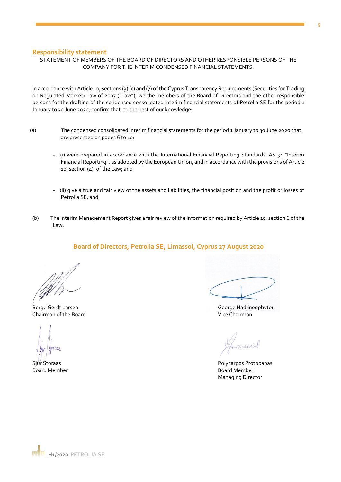## **Responsibility statement**

## STATEMENT OF MEMBERS OF THE BOARD OF DIRECTORS AND OTHER RESPONSIBLE PERSONS OF THE COMPANY FOR THE INTERIM CONDENSED FINANCIAL STATEMENTS.

In accordance with Article 10, sections (3) (c) and (7) of the Cyprus Transparency Requirements (Securities for Trading on Regulated Market) Law of 2007 ("Law"), we the members of the Board of Directors and the other responsible persons for the drafting of the condensed consolidated interim financial statements of Petrolia SE for the period 1 January to 30 June 2020, confirm that, to the best of our knowledge:

- (a) The condensed consolidated interim financial statements for the period 1 January to 30 June 2020 that are presented on pages 6 to 10:
	- (i) were prepared in accordance with the International Financial Reporting Standards IAS 34 "Interim Financial Reporting", as adopted by the European Union, and in accordance with the provisions of Article 10, section (4), of the Law; and
	- (ii) give a true and fair view of the assets and liabilities, the financial position and the profit or losses of Petrolia SE; and
- (b) The Interim Management Report gives a fair review of the information required by Article 10, section 6 of the Law.

## **Board of Directors, Petrolia SE, Limassol, Cyprus 27 August 2020**

Berge Gerdt Larsen George Hadjineophytou Chairman of the Board Vice Chairman

Sjur Storaas Polycarpos Protopapas Polycarpos Protopapas Polycarpos Protopapas Board Member **Board Member** Board Member Managing Director

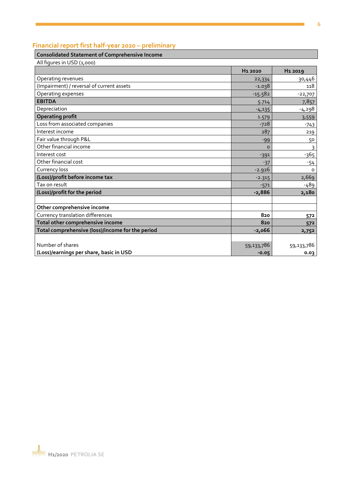## **Financial report first half-year 2020 – preliminary**

## **Consolidated Statement of Comprehensive Income**

All figures in USD (1,000)

|                                                  | H <sub>1</sub> 2020 | H <sub>1</sub> 2019 |
|--------------------------------------------------|---------------------|---------------------|
| Operating revenues                               | 22,334              | 30,446              |
| (Impairment) / reversal of current assets        | $-1.038$            | 118                 |
| Operating expenses                               | $-15.582$           | $-22,707$           |
| <b>EBITDA</b>                                    | 5.714               | 7,857               |
| Depreciation                                     | $-4,135$            | $-4,298$            |
| <b>Operating profit</b>                          | 1.579               | 3,559               |
| Loss from associated companies                   | $-728$              | $-743$              |
| Interest income                                  | 287                 | 219                 |
| Fair value through P&L                           | $-99$               | 50                  |
| Other financial income                           | $\Omega$            | 3                   |
| Interest cost                                    | $-391$              | -365                |
| Other financial cost                             | $-37$               | $-54$               |
| Currency loss                                    | $-2.926$            | $\Omega$            |
| (Loss)/profit before income tax                  | $-2.315$            | 2,669               |
| Tax on result                                    | $-571$              | -489                |
| (Loss)/profit for the period                     | $-2,886$            | 2,180               |
|                                                  |                     |                     |
| Other comprehensive income                       |                     |                     |
| Currency translation differences                 | 820                 | 572                 |
| Total other comprehensive income                 | 820                 | 572                 |
| Total comprehensive (loss)/income for the period | $-2,066$            | 2,752               |
|                                                  |                     |                     |
| Number of shares                                 | 59,133,786          | 59,133,786          |
| (Loss)/earnings per share, basic in USD          | $-0.05$             | 0.03                |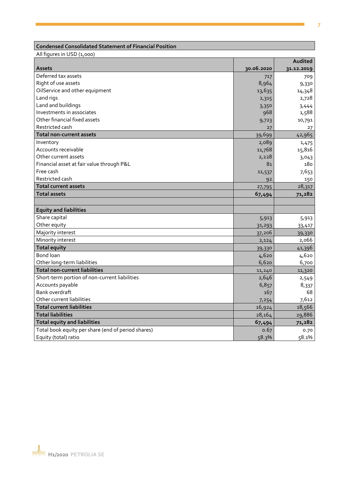## **Condensed Consolidated Statement of Financial Position**

All figures in USD (1,000)

|                                                    |            | Audited    |
|----------------------------------------------------|------------|------------|
| <b>Assets</b>                                      | 30.06.2020 | 31.12.2019 |
| Deferred tax assets                                | 717        | 709        |
| Right of use assets                                | 8,964      | 9,330      |
| OilService and other equipment                     | 13,635     | 14,348     |
| Land rigs                                          | 2,315      | 2,728      |
| Land and buildings                                 | 3,350      | 3,444      |
| Investments in associates                          | 968        | 1,588      |
| Other financial fixed assets                       | 9,723      | 10,791     |
| Restricted cash                                    | 27         | 27         |
| <b>Total non-current assets</b>                    | 39,699     | 42,965     |
| Inventory                                          | 2,089      | 1,475      |
| Accounts receivable                                | 11,768     | 15,816     |
| Other current assets                               | 2,228      | 3,043      |
| Financial asset at fair value through P&L          | 81         | 180        |
| Free cash                                          | 11,537     | 7,653      |
| Restricted cash                                    | 92         | 150        |
| <b>Total current assets</b>                        | 27,795     | 28,317     |
| <b>Total assets</b>                                | 67,494     | 71,282     |
|                                                    |            |            |
| <b>Equity and liabilities</b>                      |            |            |
| Share capital                                      | 5,913      | 5,913      |
| Other equity                                       | 31,293     | 33,417     |
| Majority interest                                  | 37,206     | 39,330     |
| Minority interest                                  | 2,124      | 2,066      |
| <b>Total equity</b>                                | 39,330     | 41,396     |
| Bond loan                                          | 4,620      | 4,620      |
| Other long-term liabilities                        | 6,620      | 6,700      |
| <b>Total non-current liabilities</b>               | 11,240     | 11,320     |
| Short-term portion of non-current liabilities      | 2,646      | 2,549      |
| Accounts payable                                   | 6,857      | 8,337      |
| <b>Bank overdraft</b>                              | 167        | 68         |
| Other current liabilities                          | 7,254      | 7,612      |
| <b>Total current liabilities</b>                   | 16,924     | 18,566     |
| <b>Total liabilities</b>                           | 28,164     | 29,886     |
| <b>Total equity and liabilities</b>                | 67,494     | 71,282     |
| Total book equity per share (end of period shares) | 0.67       | 0.70       |
| Equity (total) ratio                               | 58.3%      | 58.1%      |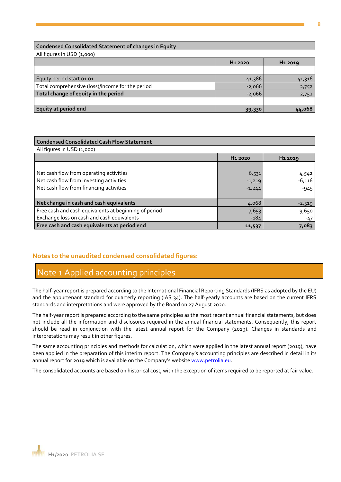## **Condensed Consolidated Statement of changes in Equity**

All figures in USD (1,000)

|                                                  | H <sub>1</sub> 2020 | H <sub>1</sub> 2019 |
|--------------------------------------------------|---------------------|---------------------|
|                                                  |                     |                     |
| Equity period start 01.01                        | 41,386              | 41,316              |
| Total comprehensive (loss)/income for the period | $-2,066$            | 2,752               |
| Total change of equity in the period             | $-2,066$            | 2,752               |
|                                                  |                     |                     |
| Equity at period end                             | 39,330              | 44,068              |

## **Condensed Consolidated Cash Flow Statement** All figures in USD (1,000)

| Net cash flow from operating activities<br>Net cash flow from investing activities<br>Net cash flow from financing activities | 6,531<br>$-1,219$<br>$-1,244$ | 4,542<br>$-6,116$<br>$-945$ |
|-------------------------------------------------------------------------------------------------------------------------------|-------------------------------|-----------------------------|
| Net change in cash and cash equivalents                                                                                       | 4,068                         | $-2,519$                    |
| Free cash and cash equivalents at beginning of period                                                                         | 7,653                         | 9,650                       |
| Exchange loss on cash and cash equivalents                                                                                    | $-184$                        | $-47$                       |
| Free cash and cash equivalents at period end                                                                                  | 11,537                        | 7,083                       |

## **Notes to the unaudited condensed consolidated figures:**

## Note 1 Applied accounting principles

The half-year report is prepared according to the International Financial Reporting Standards (IFRS as adopted by the EU) and the appurtenant standard for quarterly reporting (IAS 34). The half-yearly accounts are based on the current IFRS standards and interpretations and were approved by the Board on 27 August 2020.

The half-year report is prepared according to the same principles as the most recent annual financial statements, but does not include all the information and disclosures required in the annual financial statements. Consequently, this report should be read in conjunction with the latest annual report for the Company (2019). Changes in standards and interpretations may result in other figures.

The same accounting principles and methods for calculation, which were applied in the latest annual report (2019), have been applied in the preparation of this interim report. The Company's accounting principles are described in detail in its annual report for 2019 which is available on the Company's website [www.petrolia.eu.](http://www.petrolia.eu/)

The consolidated accounts are based on historical cost, with the exception of items required to be reported at fair value.

**H1 2020 H1 2019**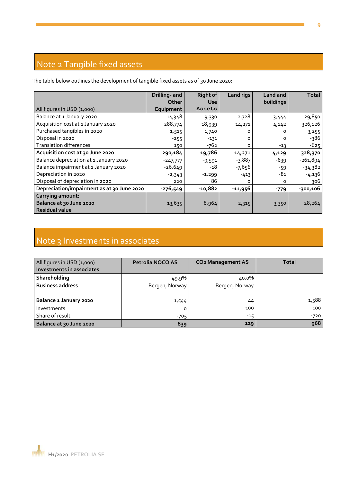## Note 2 Tangible fixed assets

The table below outlines the development of tangible fixed assets as of 30 June 2020:

|                                                                             | Drilling- and<br>Other | <b>Right of</b><br><b>Use</b> | Land rigs | Land and<br>buildings | <b>Total</b> |
|-----------------------------------------------------------------------------|------------------------|-------------------------------|-----------|-----------------------|--------------|
| All figures in USD (1,000)                                                  | Equipment              | Assets                        |           |                       |              |
| Balance at 1 January 2020                                                   | 14,348                 | 9,330                         | 2,728     | 3,444                 | 29,850       |
| Acquisition cost at 1 January 2020                                          | 288,774                | 18,939                        | 14,271    | 4,142                 | 326,126      |
| Purchased tangibles in 2020                                                 | 1,515                  | 1,740                         | Ω         | ი                     | 3,255        |
| Disposal in 2020                                                            | $-255$                 | $-131$                        | Ω         | O                     | -386         |
| <b>Translation differences</b>                                              | 150                    | $-762$                        | o         | $-13$                 | $-625$       |
| Acquisition cost at 30 June 2020                                            | 290,184                | 19,786                        | 14,271    | 4,129                 | 328,370      |
| Balance depreciation at 1 January 2020                                      | $-247,777$             | $-9,591$                      | $-3,887$  | -639                  | $-261,894$   |
| Balance impairment at 1 January 2020                                        | $-26,649$              | -18                           | $-7,656$  | -59                   | $-34,382$    |
| Depreciation in 2020                                                        | $-2,343$               | $-1,299$                      | $-413$    | -81                   | $-4,136$     |
| Disposal of depreciation in 2020                                            | 220                    | 86                            | $\Omega$  | $\Omega$              | 306          |
| Depreciation/impairment as at 30 June 2020                                  | -276,549               | $-10,882$                     | -11,956   | $-779$                | $-300,106$   |
| <b>Carrying amount:</b><br>Balance at 30 June 2020<br><b>Residual value</b> | 13,635                 | 8,964                         | 2,315     | 3,350                 | 28,264       |

## Note 3 Investments in associates

| All figures in USD (1,000)<br>Investments in associates | Petrolia NOCO AS | <b>CO<sub>2</sub> Management AS</b> | Total  |
|---------------------------------------------------------|------------------|-------------------------------------|--------|
| Shareholding                                            | 49.9%            | 40.0%                               |        |
| <b>Business address</b>                                 | Bergen, Norway   | Bergen, Norway                      |        |
| Balance 1 January 2020                                  | 1,544            | 44                                  | 1,588  |
| <b>Investments</b>                                      | 0                | 100                                 | 100    |
| Share of result                                         | $-705$           | $-15$                               | $-720$ |
| Balance at 30 June 2020                                 | 839              | 129                                 | 968    |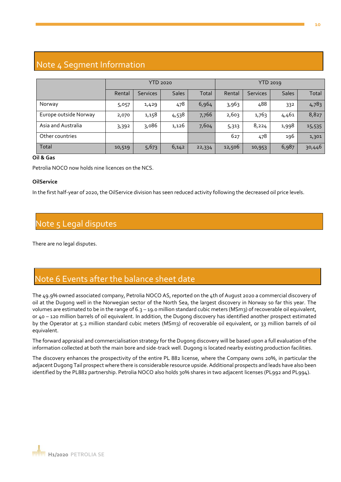## Note 4 Segment Information

|                       | <b>YTD 2020</b> |                 |              | YTD 2019 |        |                 |              |        |
|-----------------------|-----------------|-----------------|--------------|----------|--------|-----------------|--------------|--------|
|                       | Rental          | <b>Services</b> | <b>Sales</b> | Total    | Rental | <b>Services</b> | <b>Sales</b> | Total  |
| Norway                | 5,057           | 1,429           | 478          | 6,964    | 3,963  | 488             | 332          | 4,783  |
| Europe outside Norway | 2,070           | 1,158           | 4,538        | 7,766    | 2,603  | 1,763           | 4,461        | 8,827  |
| Asia and Australia    | 3,392           | 3,086           | 1,126        | 7,604    | 5,313  | 8,224           | 1,998        | 15,535 |
| Other countries       |                 |                 |              |          | 627    | 478             | 196          | 1,301  |
| Total                 | 10,519          | 5,673           | 6,142        | 22,334   | 12,506 | 10,953          | 6,987        | 30,446 |

## **Oil & Gas**

Petrolia NOCO now holds nine licences on the NCS.

## **OilService**

In the first half-year of 2020, the OilService division has seen reduced activity following the decreased oil price levels.

## Note 5 Legal disputes

There are no legal disputes.

## Note 6 Events after the balance sheet date

The 49.9% owned associated company, Petrolia NOCO AS, reported on the 4th of August 2020 a commercial discovery of oil at the Dugong well in the Norwegian sector of the North Sea, the largest discovery in Norway so far this year. The volumes are estimated to be in the range of 6.3 – 19.0 million standard cubic meters (MSm3) of recoverable oil equivalent, or 40 – 120 million barrels of oil equivalent. In addition, the Dugong discovery has identified another prospect estimated by the Operator at 5.2 million standard cubic meters (MSm3) of recoverable oil equivalent, or 33 million barrels of oil equivalent.

The forward appraisal and commercialisation strategy for the Dugong discovery will be based upon a full evaluation of the information collected at both the main bore and side-track well. Dugong is located nearby existing production facilities.

The discovery enhances the prospectivity of the entire PL 882 license, where the Company owns 20%, in particular the adjacent Dugong Tail prospect where there is considerable resource upside. Additional prospects and leads have also been identified by the PL882 partnership. Petrolia NOCO also holds 30% shares in two adjacent licenses (PL992 and PL994).